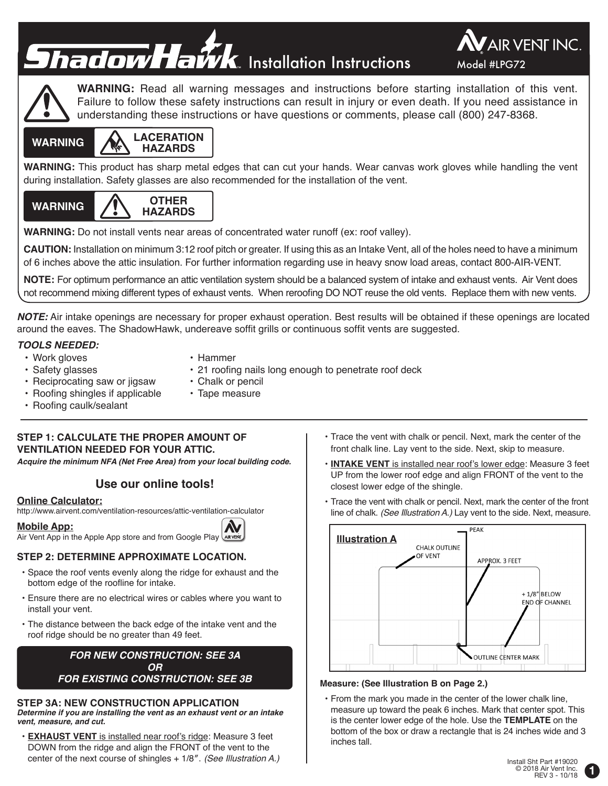# **Shadow Hawk** Installation Instructions Model #LPG72





**WARNING:** Read all warning messages and instructions before starting installation of this vent. Failure to follow these safety instructions can result in injury or even death. If you need assistance in understanding these instructions or have questions or comments, please call (800) 247-8368.



**WARNING:** This product has sharp metal edges that can cut your hands. Wear canvas work gloves while handling the vent during installation. Safety glasses are also recommended for the installation of the vent.



**WARNING:** Do not install vents near areas of concentrated water runoff (ex: roof valley).

**CAUTION:** Installation on minimum 3:12 roof pitch or greater. If using this as an Intake Vent, all of the holes need to have a minimum of 6 inches above the attic insulation. For further information regarding use in heavy snow load areas, contact 800-AIR-VENT.

**NOTE:** For optimum performance an attic ventilation system should be a balanced system of intake and exhaust vents. Air Vent does not recommend mixing different types of exhaust vents. When reroofing DO NOT reuse the old vents. Replace them with new vents.

**NOTE:** Air intake openings are necessary for proper exhaust operation. Best results will be obtained if these openings are located around the eaves. The ShadowHawk, undereave soffit grills or continuous soffit vents are suggested.

# **TOOLS NEEDED:**

• Work gloves

- Hammer
- Safety glasses • Reciprocating saw or jigsaw
- 21 roofing nails long enough to penetrate roof deck • Chalk or pencil
- Roofing shingles if applicable
- Roofing caulk/sealant
- Tape measure
- **STEP 1: CALCULATE THE PROPER AMOUNT OF VENTILATION NEEDED FOR YOUR ATTIC.**

**Acquire the minimum NFA (Net Free Area) from your local building code.**

# **Use our online tools!**

# **Online Calculator:**

http://www.airvent.com/ventilation-resources/attic-ventilation-calculator

**Mobile App:**

Air Vent App in the Apple App store and from Google Play

# **STEP 2: DETERMINE APPROXIMATE LOCATION.**

- Space the roof vents evenly along the ridge for exhaust and the bottom edge of the roofline for intake.
- Ensure there are no electrical wires or cables where you want to install your vent.
- The distance between the back edge of the intake vent and the roof ridge should be no greater than 49 feet.

**FOR NEW CONSTRUCTION: SEE 3A OR FOR EXISTING CONSTRUCTION: SEE 3B**

# **STEP 3A: NEW CONSTRUCTION APPLICATION**

**Determine if you are installing the vent as an exhaust vent or an intake vent, measure, and cut.**

**• EXHAUST VENT** is installed near roof's ridge: Measure 3 feet DOWN from the ridge and align the FRONT of the vent to the center of the next course of shingles + 1/8″. *(See Illustration A.)*

- Trace the vent with chalk or pencil. Next, mark the center of the front chalk line. Lay vent to the side. Next, skip to measure.
- **• INTAKE VENT** is installed near roof's lower edge: Measure 3 feet UP from the lower roof edge and align FRONT of the vent to the closest lower edge of the shingle.
- Trace the vent with chalk or pencil. Next, mark the center of the front line of chalk. *(See Illustration A.)* Lay vent to the side. Next, measure.



## **Measure: (See Illustration B on Page 2.)**

• From the mark you made in the center of the lower chalk line, measure up toward the peak 6 inches. Mark that center spot. This is the center lower edge of the hole. Use the **TEMPLATE** on the bottom of the box or draw a rectangle that is 24 inches wide and 3 inches tall.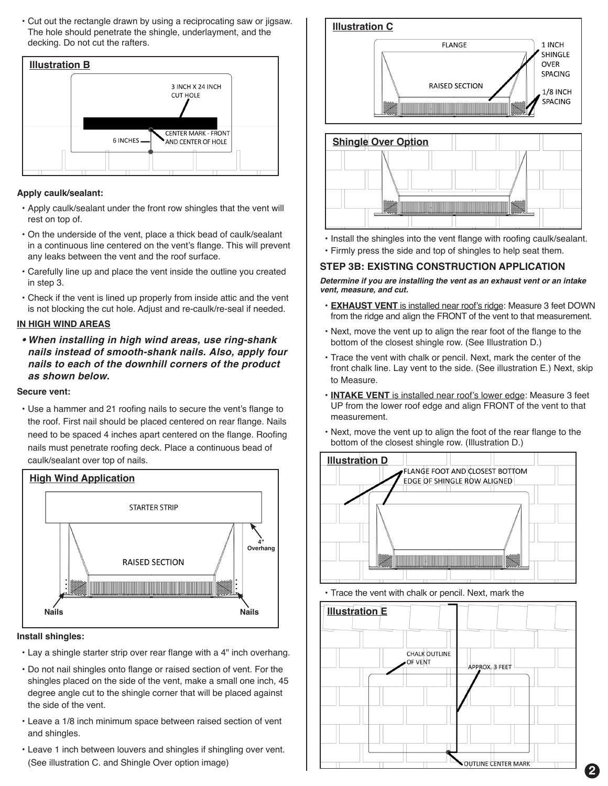• Cut out the rectangle drawn by using a reciprocating saw or jigsaw. The hole should penetrate the shingle, underlayment, and the decking. Do not cut the rafters.



#### **Apply caulk/sealant:**

- Apply caulk/sealant under the front row shingles that the vent will rest on top of.
- On the underside of the vent, place a thick bead of caulk/sealant in a continuous line centered on the vent's flange. This will prevent any leaks between the vent and the roof surface.
- Carefully line up and place the vent inside the outline you created in step 3.
- Check if the vent is lined up properly from inside attic and the vent is not blocking the cut hole. Adjust and re-caulk/re-seal if needed.

#### **IN HIGH WIND AREAS**

**• When installing in high wind areas, use ring-shank nails instead of smooth-shank nails. Also, apply four nails to each of the downhill corners of the product as shown below.**

#### **Secure vent:**

• Use a hammer and 21 roofing nails to secure the vent's flange to the roof. First nail should be placed centered on rear flange. Nails need to be spaced 4 inches apart centered on the flange. Roofing nails must penetrate roofing deck. Place a continuous bead of caulk/sealant over top of nails.



#### **Install shingles:**

- Lay a shingle starter strip over rear flange with a 4" inch overhang.
- Do not nail shingles onto flange or raised section of vent. For the shingles placed on the side of the vent, make a small one inch, 45 degree angle cut to the shingle corner that will be placed against the side of the vent.
- Leave a 1/8 inch minimum space between raised section of vent and shingles.
- Leave 1 inch between louvers and shingles if shingling over vent. (See illustration C. and Shingle Over option image)



- Install the shingles into the vent flange with roofing caulk/sealant.
- Firmly press the side and top of shingles to help seat them.

<u>i i manatara d</u>

## **STEP 3B: EXISTING CONSTRUCTION APPLICATION**

**Determine if you are installing the vent as an exhaust vent or an intake vent, measure, and cut.**

- **• EXHAUST VENT** is installed near roof's ridge: Measure 3 feet DOWN from the ridge and align the FRONT of the vent to that measurement.
- Next, move the vent up to align the rear foot of the flange to the bottom of the closest shingle row. (See Illustration D.)
- Trace the vent with chalk or pencil. Next, mark the center of the front chalk line. Lay vent to the side. (See illustration E.) Next, skip to Measure.
- **• INTAKE VENT** is installed near roof's lower edge: Measure 3 feet UP from the lower roof edge and align FRONT of the vent to that measurement.
- Next, move the vent up to align the foot of the rear flange to the bottom of the closest shingle row. (Illustration D.)



• Trace the vent with chalk or pencil. Next, mark the



**2**